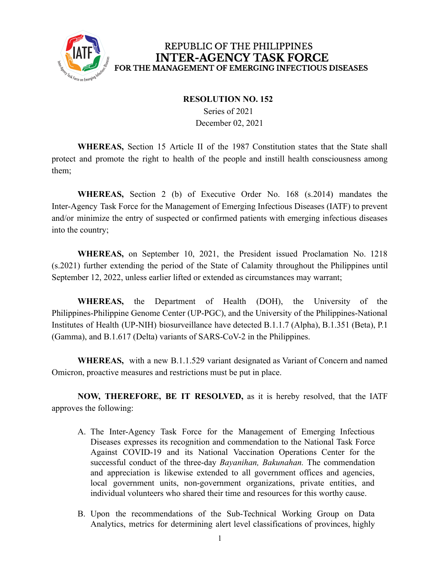

## REPUBLIC OF THE PHILIPPINES **INTER-AGENCY TASK FORCE** FOR THE MANAGEMENT OF EMERGING INFECTIOUS DISEASES

## **RESOLUTION NO. 152**

Series of 2021 December 02, 2021

**WHEREAS,** Section 15 Article II of the 1987 Constitution states that the State shall protect and promote the right to health of the people and instill health consciousness among them;

**WHEREAS,** Section 2 (b) of Executive Order No. 168 (s.2014) mandates the Inter-Agency Task Force for the Management of Emerging Infectious Diseases (IATF) to prevent and/or minimize the entry of suspected or confirmed patients with emerging infectious diseases into the country;

**WHEREAS,** on September 10, 2021, the President issued Proclamation No. 1218 (s.2021) further extending the period of the State of Calamity throughout the Philippines until September 12, 2022, unless earlier lifted or extended as circumstances may warrant;

**WHEREAS,** the Department of Health (DOH), the University of the Philippines-Philippine Genome Center (UP-PGC), and the University of the Philippines-National Institutes of Health (UP-NIH) biosurveillance have detected B.1.1.7 (Alpha), B.1.351 (Beta), P.1 (Gamma), and B.1.617 (Delta) variants of SARS-CoV-2 in the Philippines.

**WHEREAS,** with a new B.1.1.529 variant designated as Variant of Concern and named Omicron, proactive measures and restrictions must be put in place.

**NOW, THEREFORE, BE IT RESOLVED,** as it is hereby resolved, that the IATF approves the following:

- A. The Inter-Agency Task Force for the Management of Emerging Infectious Diseases expresses its recognition and commendation to the National Task Force Against COVID-19 and its National Vaccination Operations Center for the successful conduct of the three-day *Bayanihan, Bakunahan.* The commendation and appreciation is likewise extended to all government offices and agencies, local government units, non-government organizations, private entities, and individual volunteers who shared their time and resources for this worthy cause.
- B. Upon the recommendations of the Sub-Technical Working Group on Data Analytics, metrics for determining alert level classifications of provinces, highly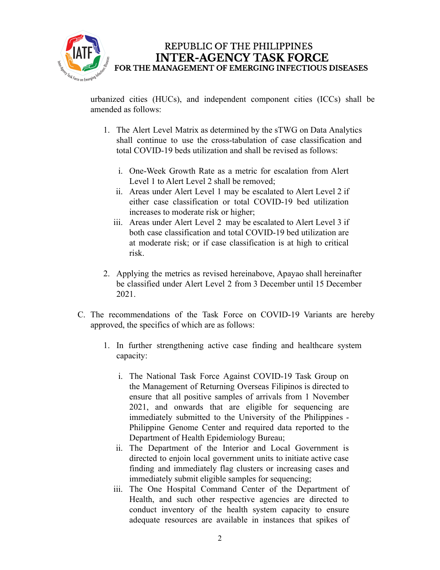

REPUBLIC OF THE PHILIPPINES **INTER-AGENCY TASK FORCE** FOR THE MANAGEMENT OF EMERGING INFECTIOUS DISEASES

urbanized cities (HUCs), and independent component cities (ICCs) shall be amended as follows:

- 1. The Alert Level Matrix as determined by the sTWG on Data Analytics shall continue to use the cross-tabulation of case classification and total COVID-19 beds utilization and shall be revised as follows:
	- i. One-Week Growth Rate as a metric for escalation from Alert Level 1 to Alert Level 2 shall be removed;
	- ii. Areas under Alert Level 1 may be escalated to Alert Level 2 if either case classification or total COVID-19 bed utilization increases to moderate risk or higher;
	- iii. Areas under Alert Level 2 may be escalated to Alert Level 3 if both case classification and total COVID-19 bed utilization are at moderate risk; or if case classification is at high to critical risk.
- 2. Applying the metrics as revised hereinabove, Apayao shall hereinafter be classified under Alert Level 2 from 3 December until 15 December 2021.
- C. The recommendations of the Task Force on COVID-19 Variants are hereby approved, the specifics of which are as follows:
	- 1. In further strengthening active case finding and healthcare system capacity:
		- i. The National Task Force Against COVID-19 Task Group on the Management of Returning Overseas Filipinos is directed to ensure that all positive samples of arrivals from 1 November 2021, and onwards that are eligible for sequencing are immediately submitted to the University of the Philippines - Philippine Genome Center and required data reported to the Department of Health Epidemiology Bureau;
		- ii. The Department of the Interior and Local Government is directed to enjoin local government units to initiate active case finding and immediately flag clusters or increasing cases and immediately submit eligible samples for sequencing;
		- iii. The One Hospital Command Center of the Department of Health, and such other respective agencies are directed to conduct inventory of the health system capacity to ensure adequate resources are available in instances that spikes of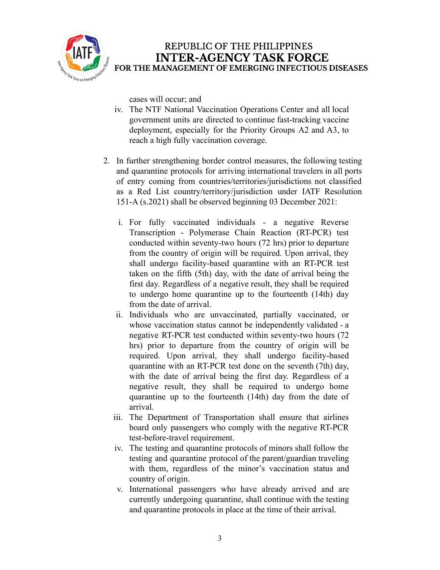

cases will occur; and

- iv. The NTF National Vaccination Operations Center and all local government units are directed to continue fast-tracking vaccine deployment, especially for the Priority Groups A2 and A3, to reach a high fully vaccination coverage.
- 2. In further strengthening border control measures, the following testing and quarantine protocols for arriving international travelers in all ports of entry coming from countries/territories/jurisdictions not classified as a Red List country/territory/jurisdiction under IATF Resolution 151-A (s.2021) shall be observed beginning 03 December 2021:
	- i. For fully vaccinated individuals a negative Reverse Transcription - Polymerase Chain Reaction (RT-PCR) test conducted within seventy-two hours (72 hrs) prior to departure from the country of origin will be required. Upon arrival, they shall undergo facility-based quarantine with an RT-PCR test taken on the fifth (5th) day, with the date of arrival being the first day. Regardless of a negative result, they shall be required to undergo home quarantine up to the fourteenth (14th) day from the date of arrival.
	- ii. Individuals who are unvaccinated, partially vaccinated, or whose vaccination status cannot be independently validated - a negative RT-PCR test conducted within seventy-two hours (72 hrs) prior to departure from the country of origin will be required. Upon arrival, they shall undergo facility-based quarantine with an RT-PCR test done on the seventh (7th) day, with the date of arrival being the first day. Regardless of a negative result, they shall be required to undergo home quarantine up to the fourteenth (14th) day from the date of arrival.
	- iii. The Department of Transportation shall ensure that airlines board only passengers who comply with the negative RT-PCR test-before-travel requirement.
	- iv. The testing and quarantine protocols of minors shall follow the testing and quarantine protocol of the parent/guardian traveling with them, regardless of the minor's vaccination status and country of origin.
	- v. International passengers who have already arrived and are currently undergoing quarantine, shall continue with the testing and quarantine protocols in place at the time of their arrival.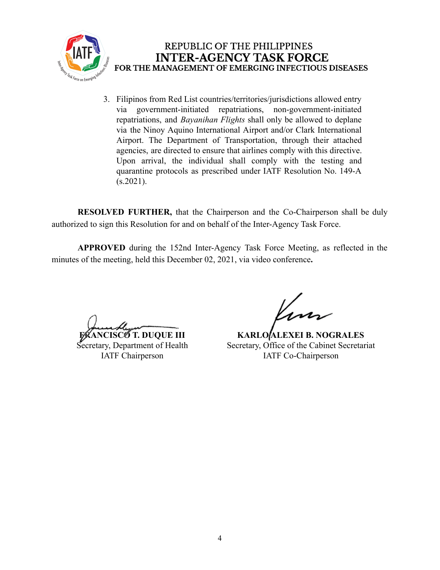

3. Filipinos from Red List countries/territories/jurisdictions allowed entry via government-initiated repatriations, non-government-initiated repatriations, and *Bayanihan Flights* shall only be allowed to deplane via the Ninoy Aquino International Airport and/or Clark International Airport. The Department of Transportation, through their attached agencies, are directed to ensure that airlines comply with this directive. Upon arrival, the individual shall comply with the testing and quarantine protocols as prescribed under IATF Resolution No. 149-A  $(s.2021)$ .

**RESOLVED FURTHER,** that the Chairperson and the Co-Chairperson shall be duly authorized to sign this Resolution for and on behalf of the Inter-Agency Task Force.

**APPROVED** during the 152nd Inter-Agency Task Force Meeting, as reflected in the minutes of the meeting, held this December 02, 2021, via video conference**.**

*NCISCOT.* DUQUE III Secretary, Department of Health IATF Chairperson

**KARLO ALEXEI B. NOGRALES** Secretary, Office of the Cabinet Secretariat IATF Co-Chairperson